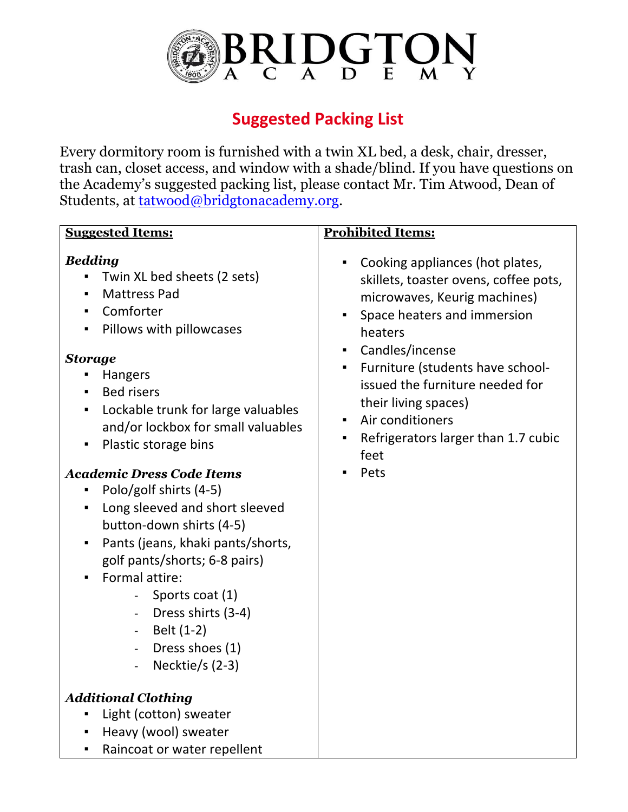

## **Suggested Packing List**

Every dormitory room is furnished with a twin XL bed, a desk, chair, dresser, trash can, closet access, and window with a shade/blind. If you have questions on the Academy's suggested packing list, please contact Mr. Tim Atwood, Dean of Students, at <u>tatwood@bridgtonacademy.org</u>.

| <b>Bedding</b><br>Twin XL bed sheets (2 sets)<br><b>Mattress Pad</b><br>$\blacksquare$<br>Comforter<br>$\blacksquare$<br>Pillows with pillowcases<br>٠<br><b>Storage</b><br>Hangers<br>٠<br><b>Bed risers</b><br>Lockable trunk for large valuables<br>$\blacksquare$<br>and/or lockbox for small valuables<br>Plastic storage bins<br>$\blacksquare$<br><b>Academic Dress Code Items</b><br>Polo/golf shirts (4-5)<br>٠<br>Long sleeved and short sleeved<br>٠<br>button-down shirts (4-5)<br>Pants (jeans, khaki pants/shorts,<br>$\blacksquare$<br>golf pants/shorts; 6-8 pairs)<br>Formal attire:<br>Sports coat (1)<br>Dress shirts (3-4)<br>Belt (1-2)<br>$\sim 10$<br>Dress shoes (1)<br>$\equiv$<br>Necktie/s $(2-3)$<br>$\overline{\phantom{a}}$ | Cooking appliances (hot plates,<br>skillets, toaster ovens, coffee pots,<br>microwaves, Keurig machines)<br>Space heaters and immersion<br>$\blacksquare$<br>heaters<br>Candles/incense<br>$\mathbf{E}^{\text{max}}$<br>Furniture (students have school-<br>$\blacksquare$<br>issued the furniture needed for<br>their living spaces)<br>Air conditioners<br>$\blacksquare$<br>Refrigerators larger than 1.7 cubic<br>٠<br>feet<br>Pets |
|-----------------------------------------------------------------------------------------------------------------------------------------------------------------------------------------------------------------------------------------------------------------------------------------------------------------------------------------------------------------------------------------------------------------------------------------------------------------------------------------------------------------------------------------------------------------------------------------------------------------------------------------------------------------------------------------------------------------------------------------------------------|-----------------------------------------------------------------------------------------------------------------------------------------------------------------------------------------------------------------------------------------------------------------------------------------------------------------------------------------------------------------------------------------------------------------------------------------|
| <b>Additional Clothing</b><br>Light (cotton) sweater<br>Heavy (wool) sweater<br>$\blacksquare$<br>Raincoat or water repellent<br>Ξ                                                                                                                                                                                                                                                                                                                                                                                                                                                                                                                                                                                                                        |                                                                                                                                                                                                                                                                                                                                                                                                                                         |